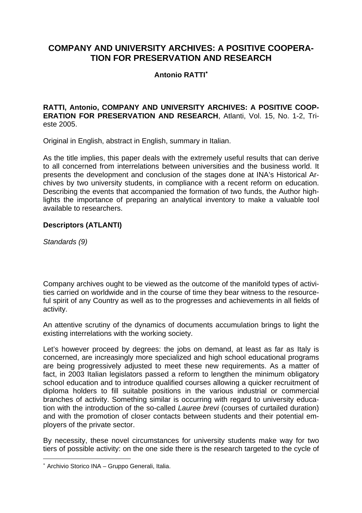# **COMPANY AND UNIVERSITY ARCHIVES: A POSITIVE COOPERA-TION FOR PRESERVATION AND RESEARCH**

## **Antonio RATTI**<sup>∗</sup>

#### **RATTI, Antonio, COMPANY AND UNIVERSITY ARCHIVES: A POSITIVE COOP-ERATION FOR PRESERVATION AND RESEARCH**, Atlanti, Vol. 15, No. 1-2, Trieste 2005.

Original in English, abstract in English, summary in Italian.

As the title implies, this paper deals with the extremely useful results that can derive to all concerned from interrelations between universities and the business world. It presents the development and conclusion of the stages done at INA's Historical Archives by two university students, in compliance with a recent reform on education. Describing the events that accompanied the formation of two funds, the Author highlights the importance of preparing an analytical inventory to make a valuable tool available to researchers.

## **Descriptors (ATLANTI)**

*Standards (9)* 

 $\overline{a}$ 

Company archives ought to be viewed as the outcome of the manifold types of activities carried on worldwide and in the course of time they bear witness to the resourceful spirit of any Country as well as to the progresses and achievements in all fields of activity.

An attentive scrutiny of the dynamics of documents accumulation brings to light the existing interrelations with the working society.

Let's however proceed by degrees: the jobs on demand, at least as far as Italy is concerned, are increasingly more specialized and high school educational programs are being progressively adjusted to meet these new requirements. As a matter of fact, in 2003 Italian legislators passed a reform to lengthen the minimum obligatory school education and to introduce qualified courses allowing a quicker recruitment of diploma holders to fill suitable positions in the various industrial or commercial branches of activity. Something similar is occurring with regard to university education with the introduction of the so-called *Lauree brevi* (courses of curtailed duration) and with the promotion of closer contacts between students and their potential employers of the private sector.

By necessity, these novel circumstances for university students make way for two tiers of possible activity: on the one side there is the research targeted to the cycle of

<sup>∗</sup> Archivio Storico INA – Gruppo Generali, Italia.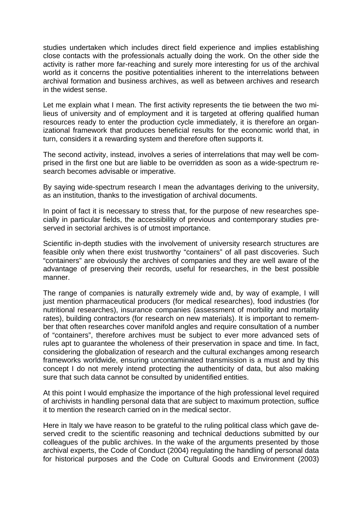studies undertaken which includes direct field experience and implies establishing close contacts with the professionals actually doing the work. On the other side the activity is rather more far-reaching and surely more interesting for us of the archival world as it concerns the positive potentialities inherent to the interrelations between archival formation and business archives, as well as between archives and research in the widest sense.

Let me explain what I mean. The first activity represents the tie between the two milieus of university and of employment and it is targeted at offering qualified human resources ready to enter the production cycle immediately, it is therefore an organizational framework that produces beneficial results for the economic world that, in turn, considers it a rewarding system and therefore often supports it.

The second activity, instead, involves a series of interrelations that may well be comprised in the first one but are liable to be overridden as soon as a wide-spectrum research becomes advisable or imperative.

By saying wide-spectrum research I mean the advantages deriving to the university, as an institution, thanks to the investigation of archival documents.

In point of fact it is necessary to stress that, for the purpose of new researches specially in particular fields, the accessibility of previous and contemporary studies preserved in sectorial archives is of utmost importance.

Scientific in-depth studies with the involvement of university research structures are feasible only when there exist trustworthy "containers" of all past discoveries. Such "containers" are obviously the archives of companies and they are well aware of the advantage of preserving their records, useful for researches, in the best possible manner.

The range of companies is naturally extremely wide and, by way of example, I will just mention pharmaceutical producers (for medical researches), food industries (for nutritional researches), insurance companies (assessment of morbility and mortality rates), building contractors (for research on new materials). It is important to remember that often researches cover manifold angles and require consultation of a number of "containers", therefore archives must be subject to ever more advanced sets of rules apt to guarantee the wholeness of their preservation in space and time. In fact, considering the globalization of research and the cultural exchanges among research frameworks worldwide, ensuring uncontaminated transmission is a must and by this concept I do not merely intend protecting the authenticity of data, but also making sure that such data cannot be consulted by unidentified entities.

At this point I would emphasize the importance of the high professional level required of archivists in handling personal data that are subject to maximum protection, suffice it to mention the research carried on in the medical sector.

Here in Italy we have reason to be grateful to the ruling political class which gave deserved credit to the scientific reasoning and technical deductions submitted by our colleagues of the public archives. In the wake of the arguments presented by those archival experts, the Code of Conduct (2004) regulating the handling of personal data for historical purposes and the Code on Cultural Goods and Environment (2003)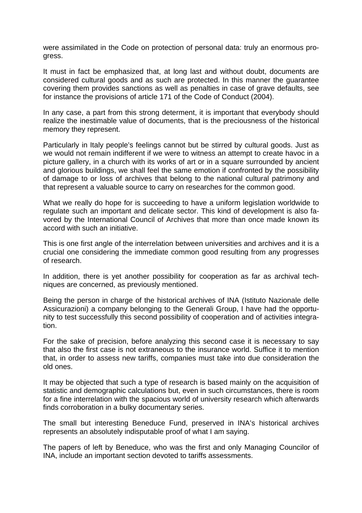were assimilated in the Code on protection of personal data: truly an enormous progress.

It must in fact be emphasized that, at long last and without doubt, documents are considered cultural goods and as such are protected. In this manner the guarantee covering them provides sanctions as well as penalties in case of grave defaults, see for instance the provisions of article 171 of the Code of Conduct (2004).

In any case, a part from this strong determent, it is important that everybody should realize the inestimable value of documents, that is the preciousness of the historical memory they represent.

Particularly in Italy people's feelings cannot but be stirred by cultural goods. Just as we would not remain indifferent if we were to witness an attempt to create havoc in a picture gallery, in a church with its works of art or in a square surrounded by ancient and glorious buildings, we shall feel the same emotion if confronted by the possibility of damage to or loss of archives that belong to the national cultural patrimony and that represent a valuable source to carry on researches for the common good.

What we really do hope for is succeeding to have a uniform legislation worldwide to regulate such an important and delicate sector. This kind of development is also favored by the International Council of Archives that more than once made known its accord with such an initiative.

This is one first angle of the interrelation between universities and archives and it is a crucial one considering the immediate common good resulting from any progresses of research.

In addition, there is yet another possibility for cooperation as far as archival techniques are concerned, as previously mentioned.

Being the person in charge of the historical archives of INA (Istituto Nazionale delle Assicurazioni) a company belonging to the Generali Group, I have had the opportunity to test successfully this second possibility of cooperation and of activities integration.

For the sake of precision, before analyzing this second case it is necessary to say that also the first case is not extraneous to the insurance world. Suffice it to mention that, in order to assess new tariffs, companies must take into due consideration the old ones.

It may be objected that such a type of research is based mainly on the acquisition of statistic and demographic calculations but, even in such circumstances, there is room for a fine interrelation with the spacious world of university research which afterwards finds corroboration in a bulky documentary series.

The small but interesting Beneduce Fund, preserved in INA's historical archives represents an absolutely indisputable proof of what I am saying.

The papers of left by Beneduce, who was the first and only Managing Councilor of INA, include an important section devoted to tariffs assessments.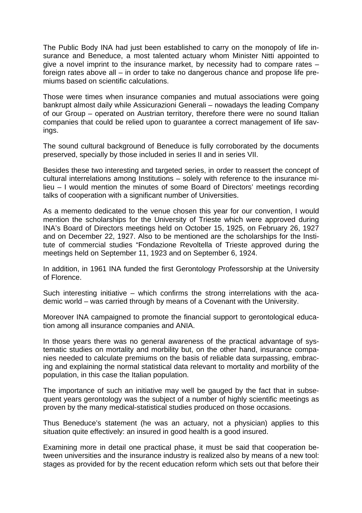The Public Body INA had just been established to carry on the monopoly of life insurance and Beneduce, a most talented actuary whom Minister Nitti appointed to give a novel imprint to the insurance market, by necessity had to compare rates – foreign rates above all – in order to take no dangerous chance and propose life premiums based on scientific calculations.

Those were times when insurance companies and mutual associations were going bankrupt almost daily while Assicurazioni Generali – nowadays the leading Company of our Group – operated on Austrian territory, therefore there were no sound Italian companies that could be relied upon to guarantee a correct management of life savings.

The sound cultural background of Beneduce is fully corroborated by the documents preserved, specially by those included in series II and in series VII.

Besides these two interesting and targeted series, in order to reassert the concept of cultural interrelations among Institutions – solely with reference to the insurance milieu – I would mention the minutes of some Board of Directors' meetings recording talks of cooperation with a significant number of Universities.

As a memento dedicated to the venue chosen this year for our convention, I would mention the scholarships for the University of Trieste which were approved during INA's Board of Directors meetings held on October 15, 1925, on February 26, 1927 and on December 22, 1927. Also to be mentioned are the scholarships for the Institute of commercial studies "Fondazione Revoltella of Trieste approved during the meetings held on September 11, 1923 and on September 6, 1924.

In addition, in 1961 INA funded the first Gerontology Professorship at the University of Florence.

Such interesting initiative – which confirms the strong interrelations with the academic world – was carried through by means of a Covenant with the University.

Moreover INA campaigned to promote the financial support to gerontological education among all insurance companies and ANIA.

In those years there was no general awareness of the practical advantage of systematic studies on mortality and morbility but, on the other hand, insurance companies needed to calculate premiums on the basis of reliable data surpassing, embracing and explaining the normal statistical data relevant to mortality and morbility of the population, in this case the Italian population.

The importance of such an initiative may well be gauged by the fact that in subsequent years gerontology was the subject of a number of highly scientific meetings as proven by the many medical-statistical studies produced on those occasions.

Thus Beneduce's statement (he was an actuary, not a physician) applies to this situation quite effectively: an insured in good health is a good insured.

Examining more in detail one practical phase, it must be said that cooperation between universities and the insurance industry is realized also by means of a new tool: stages as provided for by the recent education reform which sets out that before their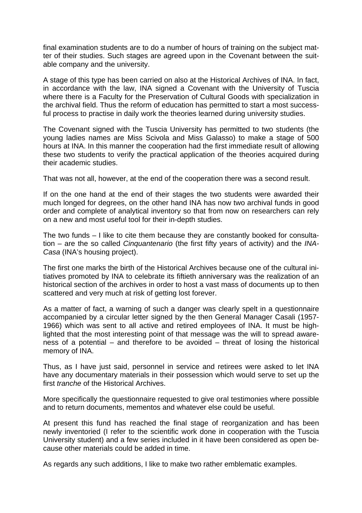final examination students are to do a number of hours of training on the subject matter of their studies. Such stages are agreed upon in the Covenant between the suitable company and the university.

A stage of this type has been carried on also at the Historical Archives of INA. In fact, in accordance with the law, INA signed a Covenant with the University of Tuscia where there is a Faculty for the Preservation of Cultural Goods with specialization in the archival field. Thus the reform of education has permitted to start a most successful process to practise in daily work the theories learned during university studies.

The Covenant signed with the Tuscia University has permitted to two students (the young ladies names are Miss Scivola and Miss Galasso) to make a stage of 500 hours at INA. In this manner the cooperation had the first immediate result of allowing these two students to verify the practical application of the theories acquired during their academic studies.

That was not all, however, at the end of the cooperation there was a second result.

If on the one hand at the end of their stages the two students were awarded their much longed for degrees, on the other hand INA has now two archival funds in good order and complete of analytical inventory so that from now on researchers can rely on a new and most useful tool for their in-depth studies.

The two funds – I like to cite them because they are constantly booked for consultation – are the so called *Cinquantenario* (the first fifty years of activity) and the *INA-Casa* (INA's housing project).

The first one marks the birth of the Historical Archives because one of the cultural initiatives promoted by INA to celebrate its fiftieth anniversary was the realization of an historical section of the archives in order to host a vast mass of documents up to then scattered and very much at risk of getting lost forever.

As a matter of fact, a warning of such a danger was clearly spelt in a questionnaire accompanied by a circular letter signed by the then General Manager Casali (1957- 1966) which was sent to all active and retired employees of INA. It must be highlighted that the most interesting point of that message was the will to spread awareness of a potential – and therefore to be avoided – threat of losing the historical memory of INA.

Thus, as I have just said, personnel in service and retirees were asked to let INA have any documentary materials in their possession which would serve to set up the first *tranche* of the Historical Archives.

More specifically the questionnaire requested to give oral testimonies where possible and to return documents, mementos and whatever else could be useful.

At present this fund has reached the final stage of reorganization and has been newly inventoried (I refer to the scientific work done in cooperation with the Tuscia University student) and a few series included in it have been considered as open because other materials could be added in time.

As regards any such additions, I like to make two rather emblematic examples.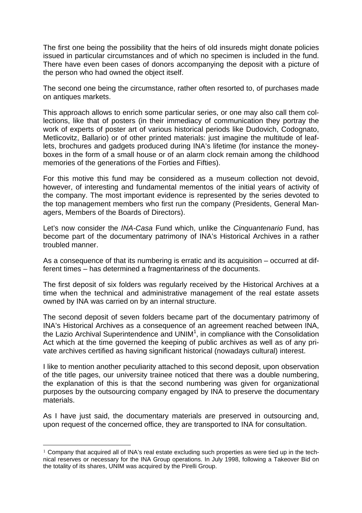The first one being the possibility that the heirs of old insureds might donate policies issued in particular circumstances and of which no specimen is included in the fund. There have even been cases of donors accompanying the deposit with a picture of the person who had owned the object itself.

The second one being the circumstance, rather often resorted to, of purchases made on antiques markets.

This approach allows to enrich some particular series, or one may also call them collections, like that of posters (in their immediacy of communication they portray the work of experts of poster art of various historical periods like Dudovich, Codognato, Metlicovitz, Ballario) or of other printed materials: just imagine the multitude of leaflets, brochures and gadgets produced during INA's lifetime (for instance the moneyboxes in the form of a small house or of an alarm clock remain among the childhood memories of the generations of the Forties and Fifties).

For this motive this fund may be considered as a museum collection not devoid, however, of interesting and fundamental mementos of the initial years of activity of the company. The most important evidence is represented by the series devoted to the top management members who first run the company (Presidents, General Managers, Members of the Boards of Directors).

Let's now consider the *INA-Casa* Fund which, unlike the *Cinquantenario* Fund, has become part of the documentary patrimony of INA's Historical Archives in a rather troubled manner.

As a consequence of that its numbering is erratic and its acquisition – occurred at different times – has determined a fragmentariness of the documents.

The first deposit of six folders was regularly received by the Historical Archives at a time when the technical and administrative management of the real estate assets owned by INA was carried on by an internal structure.

The second deposit of seven folders became part of the documentary patrimony of INA's Historical Archives as a consequence of an agreement reached between INA, the Lazio Archival Superintendence and UNIM<sup>1</sup>, in compliance with the Consolidation Act which at the time governed the keeping of public archives as well as of any private archives certified as having significant historical (nowadays cultural) interest.

I like to mention another peculiarity attached to this second deposit, upon observation of the title pages, our university trainee noticed that there was a double numbering, the explanation of this is that the second numbering was given for organizational purposes by the outsourcing company engaged by INA to preserve the documentary materials.

As I have just said, the documentary materials are preserved in outsourcing and, upon request of the concerned office, they are transported to INA for consultation.

 $\overline{a}$ 

 $1$  Company that acquired all of INA's real estate excluding such properties as were tied up in the technical reserves or necessary for the INA Group operations. In July 1998, following a Takeover Bid on the totality of its shares, UNIM was acquired by the Pirelli Group.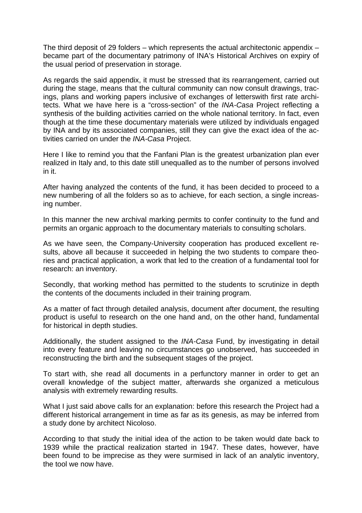The third deposit of 29 folders – which represents the actual architectonic appendix – became part of the documentary patrimony of INA's Historical Archives on expiry of the usual period of preservation in storage.

As regards the said appendix, it must be stressed that its rearrangement, carried out during the stage, means that the cultural community can now consult drawings, tracings, plans and working papers inclusive of exchanges of letterswith first rate architects. What we have here is a "cross-section" of the *INA-Casa* Project reflecting a synthesis of the building activities carried on the whole national territory. In fact, even though at the time these documentary materials were utilized by individuals engaged by INA and by its associated companies, still they can give the exact idea of the activities carried on under the *INA-Casa* Project.

Here I like to remind you that the Fanfani Plan is the greatest urbanization plan ever realized in Italy and, to this date still unequalled as to the number of persons involved in it.

After having analyzed the contents of the fund, it has been decided to proceed to a new numbering of all the folders so as to achieve, for each section, a single increasing number.

In this manner the new archival marking permits to confer continuity to the fund and permits an organic approach to the documentary materials to consulting scholars.

As we have seen, the Company-University cooperation has produced excellent results, above all because it succeeded in helping the two students to compare theories and practical application, a work that led to the creation of a fundamental tool for research: an inventory.

Secondly, that working method has permitted to the students to scrutinize in depth the contents of the documents included in their training program.

As a matter of fact through detailed analysis, document after document, the resulting product is useful to research on the one hand and, on the other hand, fundamental for historical in depth studies.

Additionally, the student assigned to the *INA-Casa* Fund, by investigating in detail into every feature and leaving no circumstances go unobserved, has succeeded in reconstructing the birth and the subsequent stages of the project.

To start with, she read all documents in a perfunctory manner in order to get an overall knowledge of the subject matter, afterwards she organized a meticulous analysis with extremely rewarding results.

What I just said above calls for an explanation: before this research the Project had a different historical arrangement in time as far as its genesis, as may be inferred from a study done by architect Nicoloso.

According to that study the initial idea of the action to be taken would date back to 1939 while the practical realization started in 1947. These dates, however, have been found to be imprecise as they were surmised in lack of an analytic inventory, the tool we now have.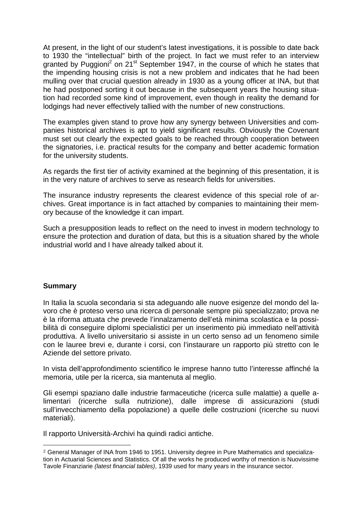At present, in the light of our student's latest investigations, it is possible to date back to 1930 the "intellectual" birth of the project. In fact we must refer to an interview granted by Puggioni<sup>2</sup> on 21<sup>st</sup> September 1947, in the course of which he states that the impending housing crisis is not a new problem and indicates that he had been mulling over that crucial question already in 1930 as a young officer at INA, but that he had postponed sorting it out because in the subsequent years the housing situation had recorded some kind of improvement, even though in reality the demand for lodgings had never effectively tallied with the number of new constructions.

The examples given stand to prove how any synergy between Universities and companies historical archives is apt to yield significant results. Obviously the Covenant must set out clearly the expected goals to be reached through cooperation between the signatories, i.e. practical results for the company and better academic formation for the university students.

As regards the first tier of activity examined at the beginning of this presentation, it is in the very nature of archives to serve as research fields for universities.

The insurance industry represents the clearest evidence of this special role of archives. Great importance is in fact attached by companies to maintaining their memory because of the knowledge it can impart.

Such a presupposition leads to reflect on the need to invest in modern technology to ensure the protection and duration of data, but this is a situation shared by the whole industrial world and I have already talked about it.

## **Summary**

 $\overline{a}$ 

In Italia la scuola secondaria si sta adeguando alle nuove esigenze del mondo del lavoro che è proteso verso una ricerca di personale sempre più specializzato; prova ne è la riforma attuata che prevede l'innalzamento dell'età minima scolastica e la possibilità di conseguire diplomi specialistici per un inserimento più immediato nell'attività produttiva. A livello universitario si assiste in un certo senso ad un fenomeno simile con le lauree brevi e, durante i corsi, con l'instaurare un rapporto più stretto con le Aziende del settore privato.

In vista dell'approfondimento scientifico le imprese hanno tutto l'interesse affinché la memoria, utile per la ricerca, sia mantenuta al meglio.

Gli esempi spaziano dalle industrie farmaceutiche (ricerca sulle malattie) a quelle alimentari (ricerche sulla nutrizione), dalle imprese di assicurazioni (studi sull'invecchiamento della popolazione) a quelle delle costruzioni (ricerche su nuovi materiali).

Il rapporto Università-Archivi ha quindi radici antiche.

<sup>2</sup> General Manager of INA from 1946 to 1951. University degree in Pure Mathematics and specialization in Actuarial Sciences and Statistics. Of all the works he produced worthy of mention is Nuovissime Tavole Finanziarie *(latest financial tables)*, 1939 used for many years in the insurance sector.